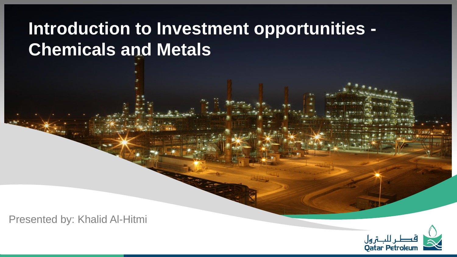# **Introduction to Investment opportunities - Chemicals and Metals**

Presented by: Khalid Al-Hitmi

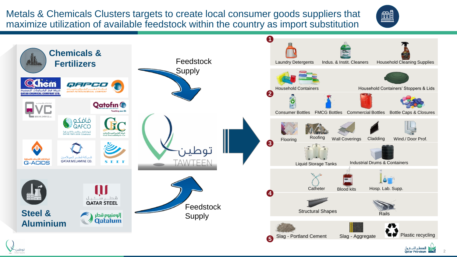Metals & Chemicals Clusters targets to create local consumer goods suppliers that maximize utilization of available feedstock within the country as import substitution



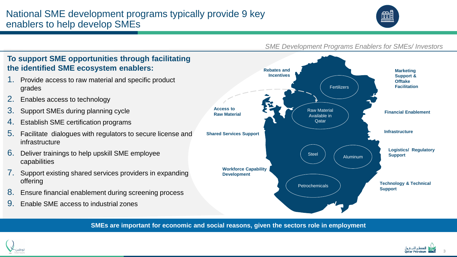## National SME development programs typically provide 9 key enablers to help develop SMEs



#### *SME Development Programs Enablers for SMEs/ Investors*



**SMEs are important for economic and social reasons, given the sectors role in employment**



grades

infrastructure

capabilities

offering

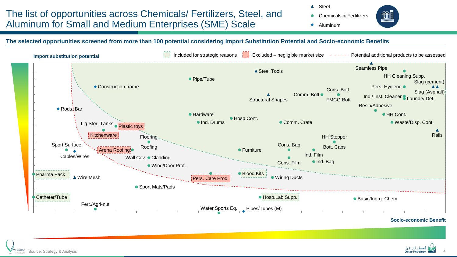# The list of opportunities across Chemicals/ Fertilizers, Steel, and Aluminum for Small and Medium Enterprises (SME) Scale

▲ Steel

- Chemicals & Fertilizers
- $\bullet$  Aluminum



#### **The selected opportunities screened from more than 100 potential considering Import Substitution Potential and Socio-economic Benefits**



**Socio-economic Benefit**

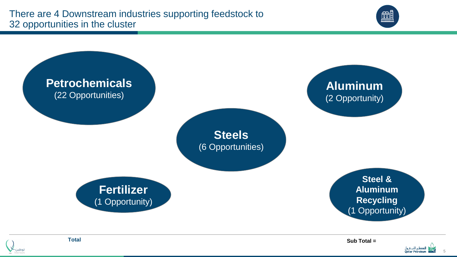



**Total**

**Sub Total =**

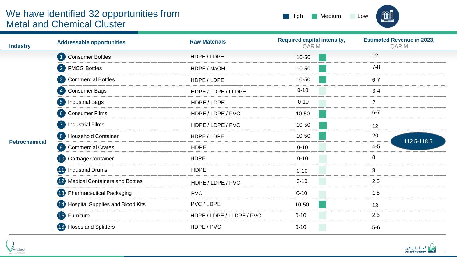## We have identified 32 opportunities from Metal and Chemical Cluster



| <b>Industry</b>      | <b>Addressable opportunities</b>          | <b>Raw Materials</b>      | <b>Required capital intensity,</b><br>QAR M | <b>Estimated Revenue in 2023,</b><br>QAR M |
|----------------------|-------------------------------------------|---------------------------|---------------------------------------------|--------------------------------------------|
| <b>Petrochemical</b> | <b>Consumer Bottles</b><br>$\vert$ 1      | HDPE / LDPE               | 10-50                                       | 12                                         |
|                      | 2 FMCG Bottles                            | HDPE / NaOH               | $10 - 50$                                   | $7 - 8$                                    |
|                      | <b>Commercial Bottles</b><br>$\bullet$    | HDPE / LDPE               | 10-50                                       | $6 - 7$                                    |
|                      | <b>Consumer Bags</b><br>$\vert 4 \rangle$ | HDPE / LDPE / LLDPE       | $0 - 10$                                    | $3 - 4$                                    |
|                      | <b>Industrial Bags</b><br>$\overline{5}$  | HDPE / LDPE               | $0 - 10$                                    | $\overline{2}$                             |
|                      | <b>Consumer Films</b><br>6 <sup>1</sup>   | HDPE / LDPE / PVC         | 10-50                                       | $6 - 7$                                    |
|                      | $\sqrt{7}$<br><b>Industrial Films</b>     | HDPE / LDPE / PVC         | 10-50                                       | 12                                         |
|                      | <b>Household Container</b><br>8           | HDPE / LDPE               | $10 - 50$                                   | 20<br>112.5-118.5                          |
|                      | <b>Commercial Crates</b><br>9             | <b>HDPE</b>               | $0 - 10$                                    | $4 - 5$                                    |
|                      | Garbage Container<br>10)                  | <b>HDPE</b>               | $0 - 10$                                    | 8                                          |
|                      | <b>Industrial Drums</b><br><b>40</b>      | <b>HDPE</b>               | $0 - 10$                                    | 8                                          |
|                      | 12 Medical Containers and Bottles         | HDPE / LDPE / PVC         | $0 - 10$                                    | 2.5                                        |
|                      | 13 Pharmaceutical Packaging               | <b>PVC</b>                | $0 - 10$                                    | 1.5                                        |
|                      | 14 Hospital Supplies and Blood Kits       | PVC / LDPE                | 10-50                                       | 13                                         |
|                      | <b>15</b> Furniture                       | HDPE / LDPE / LLDPE / PVC | $0 - 10$                                    | 2.5                                        |
|                      | 16 Hoses and Splitters                    | HDPE / PVC                | $0 - 10$                                    | $5-6$                                      |



Ī